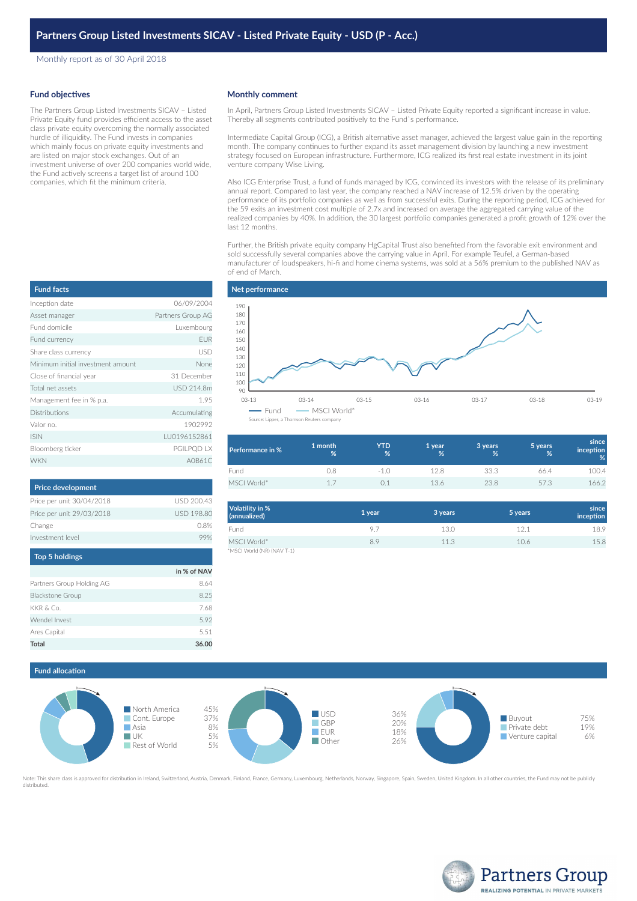Monthly report as of 30 April 2018

#### **Fund objectives**

The Partners Group Listed Investments SICAV – Listed Private Equity fund provides efficient access to the asset class private equity overcoming the normally associated hurdle of illiquidity. The Fund invests in companies which mainly focus on private equity investments and are listed on major stock exchanges. Out of an investment universe of over 200 companies world wide, the Fund actively screens a target list of around 100 companies, which fit the minimum criteria.

| <b>Fund facts</b>                 |                   |
|-----------------------------------|-------------------|
| Inception date                    | 06/09/2004        |
| Asset manager                     | Partners Group AG |
| Eund domicile                     | Luxembourg        |
| Fund currency                     | <b>EUR</b>        |
| Share class currency              | USD               |
| Minimum initial investment amount | None              |
| Close of financial year           | 31 December       |
| Total net assets                  | USD 214.8m        |
| Management fee in % p.a.          | 1.95              |
| <b>Distributions</b>              | Accumulating      |
| Valor no.                         | 1902992           |
| <b>ISIN</b>                       | LU0196152861      |
| Bloomberg ticker                  | PGILPQD LX        |
| <b>WKN</b>                        | A0B61C            |

| <b>Price development</b>  |                   |
|---------------------------|-------------------|
| Price per unit 30/04/2018 | USD 200.43        |
| Price per unit 29/03/2018 | <b>USD 198.80</b> |
| Change                    | 0.8%              |
| Investment level          |                   |
|                           |                   |

| <b>Top 5 holdings</b>     |             |
|---------------------------|-------------|
|                           | in % of NAV |
| Partners Group Holding AG | 8.64        |
| <b>Blackstone Group</b>   | 8.25        |
| KKR & Co.                 | 7.68        |
| Wendel Invest             | 5.92        |
| Ares Capital              | 5.51        |
| Total                     | 36.00       |

#### **Monthly comment**

In April, Partners Group Listed Investments SICAV – Listed Private Equity reported a significant increase in value. Thereby all segments contributed positively to the Fund`s performance.

Intermediate Capital Group (ICG), a British alternative asset manager, achieved the largest value gain in the reporting month. The company continues to further expand its asset management division by launching a new investment strategy focused on European infrastructure. Furthermore, ICG realized its first real estate investment in its joint venture company Wise Living.

Also ICG Enterprise Trust, a fund of funds managed by ICG, convinced its investors with the release of its preliminary annual report. Compared to last year, the company reached a NAV increase of 12.5% driven by the operating performance of its portfolio companies as well as from successful exits. During the reporting period, ICG achieved for the 59 exits an investment cost multiple of 2.7x and increased on average the aggregated carrying value of the realized companies by 40%. In addition, the 30 largest portfolio companies generated a profit growth of 12% over the last 12 months.

Further, the British private equity company HgCapital Trust also benefited from the favorable exit environment and sold successfully several companies above the carrying value in April. For example Teufel, a German-based manufacturer of loudspeakers, hi-fi and home cinema systems, was sold at a 56% premium to the published NAV as of end of March.



| <b>Performance in %</b> | 1 month<br>% | YTD<br>% | 1 vear<br>% | 3 years<br>% | 5 years<br>% | since<br><i>inception</i><br>% |
|-------------------------|--------------|----------|-------------|--------------|--------------|--------------------------------|
| Fund                    | .).X         | -1 C     | 128         | 33.3         | 66.4         | 100.4                          |
| MSCI World*             | 1.7          |          | 13.6        | 23.8         | 57.3         | 166.2                          |

| Volatility in %<br>(annualized) | 1 year | 3 years | 5 years | since<br>inception |
|---------------------------------|--------|---------|---------|--------------------|
| Fund                            | 9.7    | 13.0    | 12.1    | 18.9               |
| MSCI World*                     | 8.9    | 11.3    | 10.6    | 15.8               |
| *MSCI World (NR) (NAV T-1)      |        |         |         |                    |

# **Fund allocation**



Note: This share class is approved for distribution in Ireland, Switzerland, Austria, Denmark, Finland, France, Germany, Luxembourg, Netherlands, Norway, Singapore, Spain, Sweden, United Kingdom. In all other countries, th distributed.